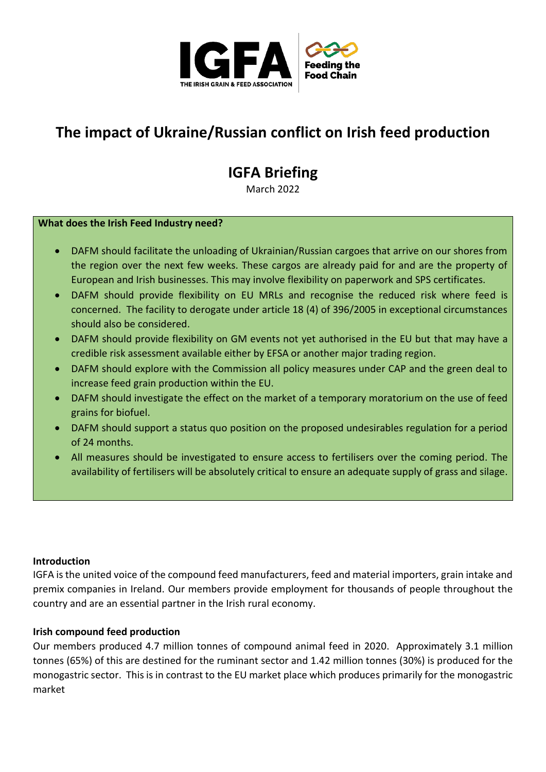

## **The impact of Ukraine/Russian conflict on Irish feed production**

# **IGFA Briefing**

March 2022

#### **What does the Irish Feed Industry need?**

- DAFM should facilitate the unloading of Ukrainian/Russian cargoes that arrive on our shores from the region over the next few weeks. These cargos are already paid for and are the property of European and Irish businesses. This may involve flexibility on paperwork and SPS certificates.
- DAFM should provide flexibility on EU MRLs and recognise the reduced risk where feed is concerned. The facility to derogate under article 18 (4) of 396/2005 in exceptional circumstances should also be considered.
- DAFM should provide flexibility on GM events not yet authorised in the EU but that may have a credible risk assessment available either by EFSA or another major trading region.
- DAFM should explore with the Commission all policy measures under CAP and the green deal to increase feed grain production within the EU.
- DAFM should investigate the effect on the market of a temporary moratorium on the use of feed grains for biofuel.
- DAFM should support a status quo position on the proposed undesirables regulation for a period of 24 months.
- All measures should be investigated to ensure access to fertilisers over the coming period. The availability of fertilisers will be absolutely critical to ensure an adequate supply of grass and silage.

#### **Introduction**

IGFA is the united voice of the compound feed manufacturers, feed and material importers, grain intake and premix companies in Ireland. Our members provide employment for thousands of people throughout the country and are an essential partner in the Irish rural economy.

#### **Irish compound feed production**

Our members produced 4.7 million tonnes of compound animal feed in 2020. Approximately 3.1 million tonnes (65%) of this are destined for the ruminant sector and 1.42 million tonnes (30%) is produced for the monogastric sector. This is in contrast to the EU market place which produces primarily for the monogastric market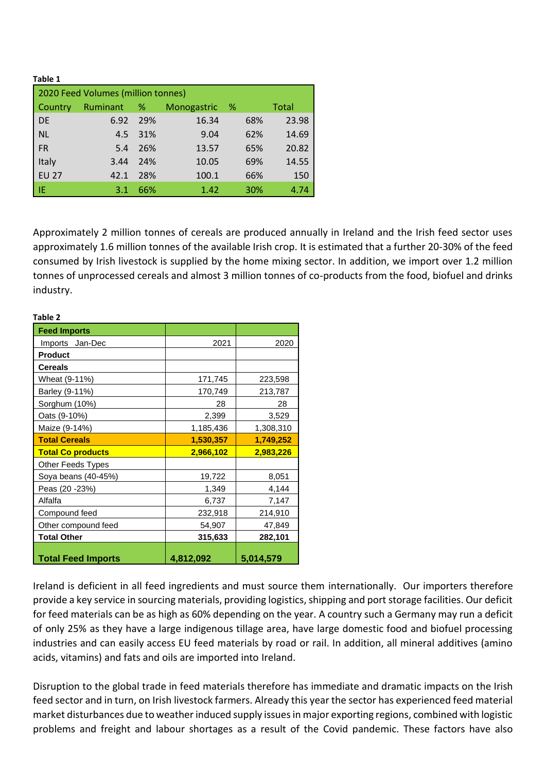**Table 1** 

| 2020 Feed Volumes (million tonnes) |            |     |             |     |       |  |  |
|------------------------------------|------------|-----|-------------|-----|-------|--|--|
| Country                            | Ruminant % |     | Monogastric | - % | Total |  |  |
| <b>DE</b>                          | 6.92       | 29% | 16.34       | 68% | 23.98 |  |  |
| <b>NL</b>                          | 4.5        | 31% | 9.04        | 62% | 14.69 |  |  |
| <b>FR</b>                          | 5.4        | 26% | 13.57       | 65% | 20.82 |  |  |
| Italy                              | 3.44       | 24% | 10.05       | 69% | 14.55 |  |  |
| <b>EU 27</b>                       | 42.1       | 28% | 100.1       | 66% | 150   |  |  |
| -IE                                | 3.1        | 66% | 1.42        | 30% | 4.74  |  |  |

Approximately 2 million tonnes of cereals are produced annually in Ireland and the Irish feed sector uses approximately 1.6 million tonnes of the available Irish crop. It is estimated that a further 20-30% of the feed consumed by Irish livestock is supplied by the home mixing sector. In addition, we import over 1.2 million tonnes of unprocessed cereals and almost 3 million tonnes of co-products from the food, biofuel and drinks industry.

| rabie z                   |           |           |  |  |  |
|---------------------------|-----------|-----------|--|--|--|
| <b>Feed Imports</b>       |           |           |  |  |  |
| Imports Jan-Dec           | 2021      | 2020      |  |  |  |
| <b>Product</b>            |           |           |  |  |  |
| <b>Cereals</b>            |           |           |  |  |  |
| Wheat (9-11%)             | 171,745   | 223,598   |  |  |  |
| Barley (9-11%)            | 170,749   | 213,787   |  |  |  |
| Sorghum (10%)             | 28        | 28        |  |  |  |
| Oats (9-10%)              | 2,399     | 3,529     |  |  |  |
| Maize (9-14%)             | 1,185,436 | 1,308,310 |  |  |  |
| <b>Total Cereals</b>      | 1,530,357 | 1,749,252 |  |  |  |
| <b>Total Co products</b>  | 2,966,102 | 2,983,226 |  |  |  |
| Other Feeds Types         |           |           |  |  |  |
| Soya beans (40-45%)       | 19,722    | 8,051     |  |  |  |
| Peas (20 -23%)            | 1,349     | 4,144     |  |  |  |
| Alfalfa                   | 6,737     | 7,147     |  |  |  |
| Compound feed             | 232,918   | 214,910   |  |  |  |
| Other compound feed       | 54,907    | 47,849    |  |  |  |
| <b>Total Other</b>        | 315,633   | 282,101   |  |  |  |
| <b>Total Feed Imports</b> | 4,812,092 | 5,014,579 |  |  |  |

#### **Table 2**

Ireland is deficient in all feed ingredients and must source them internationally. Our importers therefore provide a key service in sourcing materials, providing logistics, shipping and port storage facilities. Our deficit for feed materials can be as high as 60% depending on the year. A country such a Germany may run a deficit of only 25% as they have a large indigenous tillage area, have large domestic food and biofuel processing industries and can easily access EU feed materials by road or rail. In addition, all mineral additives (amino acids, vitamins) and fats and oils are imported into Ireland.

Disruption to the global trade in feed materials therefore has immediate and dramatic impacts on the Irish feed sector and in turn, on Irish livestock farmers. Already this year the sector has experienced feed material market disturbances due to weather induced supply issues in major exporting regions, combined with logistic problems and freight and labour shortages as a result of the Covid pandemic. These factors have also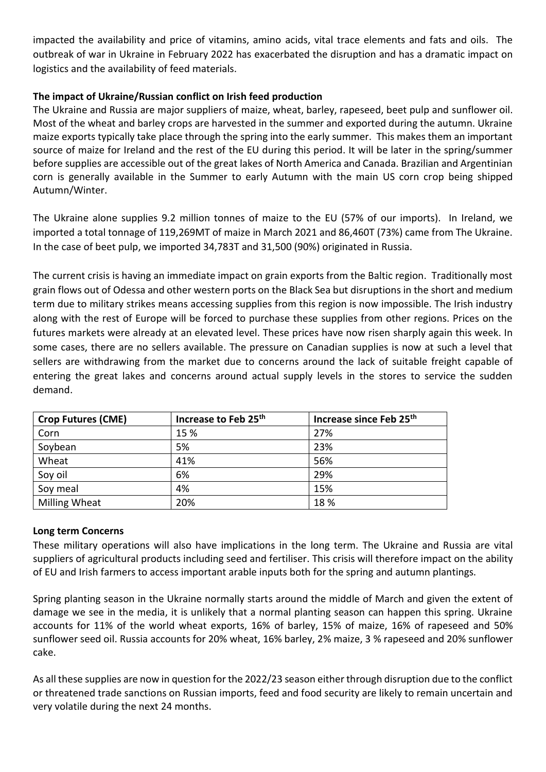impacted the availability and price of vitamins, amino acids, vital trace elements and fats and oils. The outbreak of war in Ukraine in February 2022 has exacerbated the disruption and has a dramatic impact on logistics and the availability of feed materials.

## **The impact of Ukraine/Russian conflict on Irish feed production**

The Ukraine and Russia are major suppliers of maize, wheat, barley, rapeseed, beet pulp and sunflower oil. Most of the wheat and barley crops are harvested in the summer and exported during the autumn. Ukraine maize exports typically take place through the spring into the early summer. This makes them an important source of maize for Ireland and the rest of the EU during this period. It will be later in the spring/summer before supplies are accessible out of the great lakes of North America and Canada. Brazilian and Argentinian corn is generally available in the Summer to early Autumn with the main US corn crop being shipped Autumn/Winter.

The Ukraine alone supplies 9.2 million tonnes of maize to the EU (57% of our imports). In Ireland, we imported a total tonnage of 119,269MT of maize in March 2021 and 86,460T (73%) came from The Ukraine. In the case of beet pulp, we imported 34,783T and 31,500 (90%) originated in Russia.

The current crisis is having an immediate impact on grain exports from the Baltic region. Traditionally most grain flows out of Odessa and other western ports on the Black Sea but disruptions in the short and medium term due to military strikes means accessing supplies from this region is now impossible. The Irish industry along with the rest of Europe will be forced to purchase these supplies from other regions. Prices on the futures markets were already at an elevated level. These prices have now risen sharply again this week. In some cases, there are no sellers available. The pressure on Canadian supplies is now at such a level that sellers are withdrawing from the market due to concerns around the lack of suitable freight capable of entering the great lakes and concerns around actual supply levels in the stores to service the sudden demand.

| <b>Crop Futures (CME)</b> | Increase to Feb 25th | Increase since Feb 25th |
|---------------------------|----------------------|-------------------------|
| Corn                      | 15 %                 | 27%                     |
| Soybean                   | 5%                   | 23%                     |
| Wheat                     | 41%                  | 56%                     |
| Soy oil                   | 6%                   | 29%                     |
| Soy meal                  | 4%                   | 15%                     |
| Milling Wheat             | 20%                  | 18%                     |

### **Long term Concerns**

These military operations will also have implications in the long term. The Ukraine and Russia are vital suppliers of agricultural products including seed and fertiliser. This crisis will therefore impact on the ability of EU and Irish farmers to access important arable inputs both for the spring and autumn plantings.

Spring planting season in the Ukraine normally starts around the middle of March and given the extent of damage we see in the media, it is unlikely that a normal planting season can happen this spring. Ukraine accounts for 11% of the world wheat exports, 16% of barley, 15% of maize, 16% of rapeseed and 50% sunflower seed oil. Russia accounts for 20% wheat, 16% barley, 2% maize, 3 % rapeseed and 20% sunflower cake.

As all these supplies are now in question for the 2022/23 season either through disruption due to the conflict or threatened trade sanctions on Russian imports, feed and food security are likely to remain uncertain and very volatile during the next 24 months.